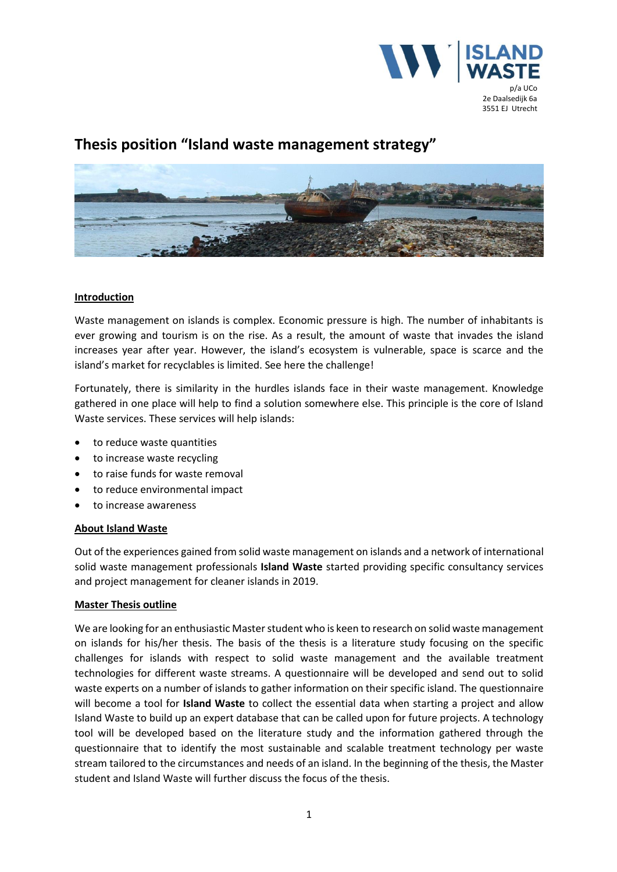

# **Thesis position "Island waste management strategy"**



## **Introduction**

Waste management on islands is complex. Economic pressure is high. The number of inhabitants is ever growing and tourism is on the rise. As a result, the amount of waste that invades the island increases year after year. However, the island's ecosystem is vulnerable, space is scarce and the island's market for recyclables is limited. See here the challenge!

Fortunately, there is similarity in the hurdles islands face in their waste management. Knowledge gathered in one place will help to find a solution somewhere else. This principle is the core of Island Waste services. These services will help islands:

- to reduce waste quantities
- to increase waste recycling
- to raise funds for waste removal
- to reduce environmental impact
- to increase awareness

#### **About Island Waste**

Out of the experiences gained from solid waste management on islands and a network of international solid waste management professionals **Island Waste** started providing specific consultancy services and project management for cleaner islands in 2019.

#### **Master Thesis outline**

We are looking for an enthusiastic Master student who is keen to research on solid waste management on islands for his/her thesis. The basis of the thesis is a literature study focusing on the specific challenges for islands with respect to solid waste management and the available treatment technologies for different waste streams. A questionnaire will be developed and send out to solid waste experts on a number of islands to gather information on their specific island. The questionnaire will become a tool for **Island Waste** to collect the essential data when starting a project and allow Island Waste to build up an expert database that can be called upon for future projects. A technology tool will be developed based on the literature study and the information gathered through the questionnaire that to identify the most sustainable and scalable treatment technology per waste stream tailored to the circumstances and needs of an island. In the beginning of the thesis, the Master student and Island Waste will further discuss the focus of the thesis.